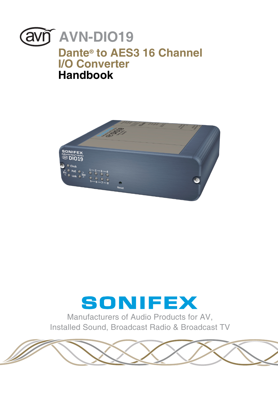



# SONIFEX

Manufacturers of Audio Products for AV, Installed Sound, Broadcast Radio & Broadcast TV

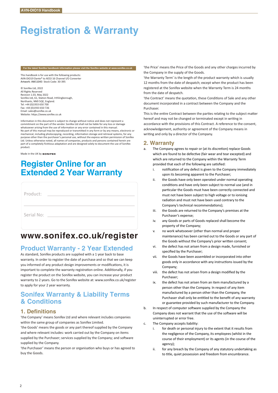# **Registration & Warranty**

#### **For the latest Sonifex handbook information please visit the Sonifex website at www.sonifex.co.uk**

This handbook is for use with the following products: AVN-DIO19 Dante® to AES3 16 Channel I/O Converter Artwork: AW11043 Stock Code: 30-395

© Sonifex Ltd, 2022 All Rights Reserved Revision 1.03, May 2022 Sonifex Ltd, 61, Station Road, Irthlingborough Northants, NN9 5OF, England. Tel: +44 (0)1933 650 700 Fax: +44 (0)1933 650 726 Email: sales@sonifex.co.uk Website: https://www.sonifex.co.uk

Information in this document is subject to change without notice and does not represent a commitment on the part of the vendor. Sonifex Ltd shall not be liable for any loss or damage whatsoever arising from the use of information or any error contained in this manual. No part of this manual may be reproduced or transmitted in any form or by any means, electronic or mechanical, including photocopying, recording, information storage and retrieval systems, for any<br>purpose other than the purchaser's personal use, without the express written permission of Sonifes<br>Ltd. Unless otherwise not part of a completely fictitious adaptation and are designed solely to document the use of Sonifex product.

Made in the UK by sonIFEX

# **Register Online for an Extended 2 Year Warranty**

| Product:   |  |  |
|------------|--|--|
|            |  |  |
| Serial No: |  |  |
|            |  |  |

# **www.sonifex.co.uk/register**

# **Product Warranty - 2 Year Extended**

As standard, Sonifex products are supplied with a 1 year back to base warranty. In order to register the date of purchase and so that we can keep you informed of any product design improvements or modifications, it is important to complete the warranty registration online. Additionally, if you register the product on the Sonifex website, you can increase your product warranty to 2 years. Go to the Sonifex website at: www.sonifex.co.uk/register to apply for your 2 year warranty.

# **Sonifex Warranty & Liability Terms & Conditions**

### **1. Definitions**

'the Company' means Sonifex Ltd and where relevant includes companies within the same group of companies as Sonifex Limited.

'the Goods' means the goods or any part thereof supplied by the Company and where relevant includes: work carried out by the Company on items supplied by the Purchaser; services supplied by the Company; and software supplied by the Company.

'the Purchaser' means the person or organisation who buys or has agreed to buy the Goods.

'the Price' means the Price of the Goods and any other charges incurred by the Company in the supply of the Goods.

'the Warranty Term' is the length of the product warranty which is usually 12 months from the date of despatch; except when the product has been registered at the Sonifex website when the Warranty Term is 24 months from the date of despatch.

'the Contract' means the quotation, these Conditions of Sale and any other document incorporated in a contract between the Company and the Purchaser.

This is the entire Contract between the parties relating to the subject matter hereof and may not be changed or terminated except in writing in accordance with the provisions of this Contract. A reference to the consent, acknowledgement, authority or agreement of the Company means in writing and only by a director of the Company.

# **2. Warranty**

- a. The Company agrees to repair or (at its discretion) replace Goods which are found to be defective (fair wear and tear excepted) and which are returned to the Company within the Warranty Term provided that each of the following are satisfied:
	- i. notification of any defect is given to the Company immediately upon its becoming apparent to the Purchaser;
	- ii. the Goods have only been operated under normal operating conditions and have only been subject to normal use (and in particular the Goods must have been correctly connected and must not have been subject to high voltage or to ionising radiation and must not have been used contrary to the Company's technical recommendations);
	- iii. the Goods are returned to the Company's premises at the Purchaser's expense;
	- iv. any Goods or parts of Goods replaced shall become the property of the Company;
	- v. no work whatsoever (other than normal and proper maintenance) has been carried out to the Goods or any part of the Goods without the Company's prior written consent;
	- vi. the defect has not arisen from a design made, furnished or specified by the Purchaser;
	- vii. the Goods have been assembled or incorporated into other goods only in accordance with any instructions issued by the Company;
	- viii. the defect has not arisen from a design modified by the Purchaser;
	- ix. the defect has not arisen from an item manufactured by a person other than the Company. In respect of any item manufactured by a person other than the Company, the Purchaser shall only be entitled to the benefit of any warranty or guarantee provided by such manufacturer to the Company.
- b. In respect of computer software supplied by the Company the Company does not warrant that the use of the software will be uninterrupted or error free.
- c. The Company accepts liability:
	- i. for death or personal injury to the extent that it results from the negligence of the Company, its employees (whilst in the course of their employment) or its agents (in the course of the agency);
	- ii. for any breach by the Company of any statutory undertaking as to title, quiet possession and freedom from encumbrance.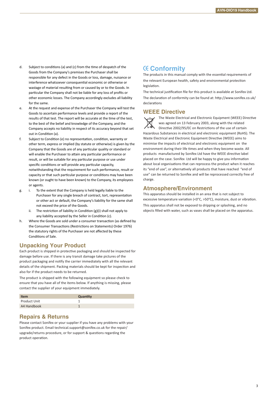- d. Subject to conditions (a) and (c) from the time of despatch of the Goods from the Company's premises the Purchaser shall be responsible for any defect in the Goods or loss, damage, nuisance or interference whatsoever consequen�al economic or otherwise or wastage of material resulting from or caused by or to the Goods. In particular the Company shall not be liable for any loss of profits or other economic losses. The Company accordingly excludes all liability for the same.
- e. At the request and expense of the Purchaser the Company will test the Goods to ascertain performance levels and provide a report of the results of that test. The report will be accurate at the time of the test, to the best of the belief and knowledge of the Company, and the Company accepts no liability in respect of its accuracy beyond that set out in Condition (a).
- f. Subject to Condition (e) no representation, condition, warranty or other term, express or implied (by statute or otherwise) is given by the Company that the Goods are of any par�cular quality or standard or will enable the Purchaser to attain any particular performance or result, or will be suitable for any particular purpose or use under specific conditions or will provide any particular capacity, notwithstanding that the requirement for such performance, result or capacity or that such particular purpose or conditions may have been known (or ought to have been known) to the Company, its employees or agents.
- g. i. To the extent that the Company is held legally liable to the Purchaser for any single breach of contract, tort, representation or other act or default, the Company's liability for the same shall not exceed the price of the Goods.
	- ii. The restriction of liability in Condition  $(g)(i)$  shall not apply to any liability accepted by the Seller in Condition (c).
- h. Where the Goods are sold under a consumer transaction (as defined by the Consumer Transactions (Restrictions on Statements) Order 1976) the statutory rights of the Purchaser are not affected by these Conditions of Sale.

# **Unpacking Your Product**

Each product is shipped in protective packaging and should be inspected for damage before use. If there is any transit damage take pictures of the product packaging and no�fy the carrier immediately with all the relevant details of the shipment. Packing materials should be kept for inspection and also for if the product needs to be returned.

The product is shipped with the following equipment so please check to ensure that you have all of the items below. If anything is missing, please contact the supplier of your equipment immediately.

| <b>Item</b>  | Quantity |
|--------------|----------|
| Product Unit |          |
| A4 Handbook  |          |

# **Repairs & Returns**

Please contact Sonifex or your supplier if you have any problems with your Sonifex product. Email technical.support@sonifex.co.uk for the repair/ upgrade/returns procedure, or for support & questions regarding the product operation.

# **Conformity**

The products in this manual comply with the essential requirements of the relevant European health, safety and environmental protection legislation.

The technical justification file for this product is available at Sonifex Ltd. The declaration of conformity can be found at: http://www.sonifex.co.uk/ declarations

# **WEEE Directive**

The Waste Electrical and Electronic Equipment (WEEE) Directive was agreed on 13 February 2003, along with the related Directive 2002/95/EC on Restrictions of the use of certain Hazardous Substances in electrical and electronic equipment (RoHS). The Waste Electrical and Electronic Equipment Directive (WEEE) aims to minimise the impacts of electrical and electronic equipment on the environment during their life times and when they become waste. All products manufactured by Sonifex Ltd have the WEEE directive label placed on the case. Sonifex Ltd will be happy to give you information about local organisations that can reprocess the product when it reaches its "end of use", or alternatively all products that have reached "end of use" can be returned to Sonifex and will be reprocessed correctly free of charge.

# **Atmosphere/Environment**

This apparatus should be installed in an area that is not subject to excessive temperature variation (<0°C, >50°C), moisture, dust or vibration. This apparatus shall not be exposed to dripping or splashing, and no objects filled with water, such as vases shall be placed on the apparatus.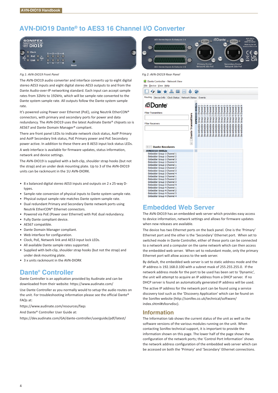# **AVN-DIO19 Dante® to AES3 16 Channel I/O Converter**



#### *Fig 1: AVN-DIO19 Front Panel Fig 2: AVN-DIO19 Rear Panel*

The AVN-DIO19 audio converter and interface converts up to eight digital stereo AES3 inputs and eight digital stereo AES3 outputs to and from the Dante Audio-over-IP networking standard. Each input can accept sample rates from 32kHz to 192kHz, which will be sample rate converted to the Dante system sample rate. All outputs follow the Dante system sample rate.

It's powered using Power over Ethernet (PoE), using Neutrik EtherCON® connectors, with primary and secondary ports for power and data redundancy. The AVN-DIO19 uses the latest Audinate Dante® chipsets so is AES67 and Dante Domain Manager® compliant.

There are front panel LEDs to indicate network clock status, AoIP Primary and AoIP Secondary link status, PoE Primary power and PoE Secondary power active. In addition to these there are 8 AES3 input lock status LEDs.

A web interface is available for firmware updates, status information, network and device settings.

The AVN-DIO19 is supplied with a belt-clip, shoulder strap hooks (but not the strap) and an under desk mounting plate. Up to 3 of the AVN-DIO19 units can be rackmount in the 1U AVN-DIORK.

- 8 x balanced digital stereo AES3 inputs and outputs on 2 x 25-way Dtypes.
- Sample rate conversion of physical inputs to Dante system sample rate.
- Physical output sample rate matches Dante system sample rate.
- Dual redundant Primary and Secondary Dante network ports using Neutrik EtherCON® Ethernet connectors.
- Powered via PoE (Power over Ethernet) with PoE dual redundancy.
- Fully Dante compliant device.
- AES67 compatible.
- Dante Domain Manager compliant.
- Web interface for configuration.
- Clock, PoE, Network link and AES3 input lock LEDs.
- All available Dante sample rates supported.
- Supplied with belt-clip, shoulder strap hooks (but not the strap) and under desk mounting plate.
- 3 x units rackmount in the AVN-DIORK

# **Dante® Controller**

Dante Controller is an application provided by Audinate and can be downloaded from their website: https://www.audinate.com/

Use Dante Controller as you normally would to setup the audio routes on the unit. For troubleshooting information please see the official Dante®  $F\Delta\Omega$ s at:

https://www.audinate.com/resources/faqs

And Dante® Controller User Guide at:

https://dev.audinate.com/GA/dante-controller/userguide/pdf/latest/



| Dante Controller - Network View                                                                                                                                                                                                                                                                                                                                                                                                                                                              |                          |                             |                              |                                 |                              |                              |                                                                           |                                                                    |                                      |                                      |                                      |                                   |                                 |                                      |                                      |                              |  |
|----------------------------------------------------------------------------------------------------------------------------------------------------------------------------------------------------------------------------------------------------------------------------------------------------------------------------------------------------------------------------------------------------------------------------------------------------------------------------------------------|--------------------------|-----------------------------|------------------------------|---------------------------------|------------------------------|------------------------------|---------------------------------------------------------------------------|--------------------------------------------------------------------|--------------------------------------|--------------------------------------|--------------------------------------|-----------------------------------|---------------------------------|--------------------------------------|--------------------------------------|------------------------------|--|
| File Device View Help                                                                                                                                                                                                                                                                                                                                                                                                                                                                        |                          |                             |                              |                                 |                              |                              |                                                                           |                                                                    |                                      |                                      |                                      |                                   |                                 |                                      |                                      |                              |  |
| i<br>$\bullet$ $\bullet$                                                                                                                                                                                                                                                                                                                                                                                                                                                                     |                          |                             |                              |                                 |                              |                              |                                                                           |                                                                    |                                      |                                      |                                      |                                   |                                 |                                      |                                      |                              |  |
| Routing Device Info Clock Status Network Status Events                                                                                                                                                                                                                                                                                                                                                                                                                                       |                          |                             |                              |                                 |                              |                              |                                                                           |                                                                    |                                      |                                      |                                      |                                   |                                 |                                      |                                      |                              |  |
| <b><i></i></b> □ Dante®<br><b>Filter Transmitters</b><br>Dante Transmitters<br><b>Filter Receivers</b><br>$\overline{+}$<br>$\left +\right -\right $ Dante Receivers                                                                                                                                                                                                                                                                                                                         | Т<br>AVNDIO10-000b2e     | De-embedder Group 1 Channel | Channel<br>De-embedder Group | Channel<br>Group<br>De-embedder | Channel<br>De-embedder Group | Channel<br>De-embedder Group | Channel<br>$\mathbf{\tilde{c}}$<br>De-embedder Group<br>De-embedder Group | Channel<br>Channel<br>$\overline{\mathbf{c}}$<br>De-embedder Group | Channel<br>m<br>Group<br>De-embedder | Channel<br>m<br>Group<br>De-embedder | Channel<br>m<br>Group<br>De-embedder | Channel<br>m<br>De-embedder Group | Channel<br>Group<br>De-embedder | Ñ<br>Channel<br>Group<br>De-embedder | S<br>Channel<br>Group<br>De-embedder | Channel<br>Group<br>embedder |  |
| AVNDIO10-000b2e                                                                                                                                                                                                                                                                                                                                                                                                                                                                              | $\overline{\phantom{0}}$ |                             |                              |                                 |                              |                              |                                                                           |                                                                    |                                      |                                      |                                      |                                   |                                 |                                      |                                      |                              |  |
| Embedder Group 1 Channel 1<br>Embedder Group 1 Channel 2<br>Embedder Group 1 Channel 3<br>Embedder Group 1 Channel 4<br>Embedder Group 2 Channel 1<br>Embedder Group 2 Channel 2<br>Embedder Group 2 Channel 3<br>Embedder Group 2 Channel 4<br>Embedder Group 3 Channel 1<br>Embedder Group 3 Channel 2<br>Embedder Group 3 Channel 3<br>Embedder Group 3 Channel 4<br>Embedder Group 4 Channel 1<br>Embedder Group 4 Channel 2<br>Embedder Group 4 Channel 3<br>Embedder Group 4 Channel 4 |                          |                             |                              |                                 |                              |                              |                                                                           |                                                                    |                                      |                                      |                                      |                                   |                                 |                                      |                                      |                              |  |

# **Embedded Web Server**

The AVN-DIO19 has an embedded web server which provides easy access to device information, network settings and allows for firmware updates when new releases are available.

The device has two Ethernet ports on the back panel. One is the 'Primary' Ethernet port and the other is the 'Secondary' Ethernet port. When set to switched mode in Dante Controller, either of these ports can be connected to a network and a computer on the same network which can then access the embedded web server. When set to redundant mode, only the primary Ethernet port will allow access to the web server.

By default, the embedded web server is set to static address mode and the IP address is 192.168.0.100 with a subnet mask of 255.255.255.0. If the network address mode for the port to be used has been set to 'Dynamic', the unit will attempt to acquire an IP address from a DHCP server. If no DHCP server is found an automatically generated IP address will be used.

The active IP address for the network port can be found using a service discovery tool such as the 'Discovery Application' which can be found on the Sonifex website (http://sonifex.co.uk/technical/software/ index.shtml#sfxsrvdisc).

## **Information**

The Information tab shows the current status of the unit as well as the software versions of the various modules running on the unit. When contacting Sonifex technical support, it is important to provide the information shown on this page. The lower half of the page shows the configuration of the network ports; the 'Control Port Information' shows the network address configuration of the embedded web server which can be accessed on both the 'Primary' and 'Secondary' Ethernet connections.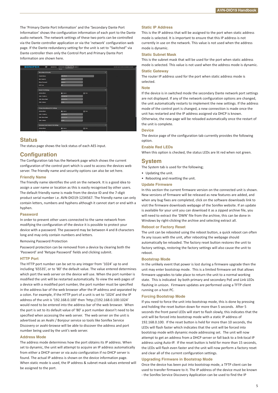The 'Primary Dante Port Information' and the 'Secondary Dante Port Information' shows the configuration information of each port to the Dante audio network. The network settings of these two ports can be controlled via the Dante controller application or via the 'network' configuration web page. If the Dante redundancy setting for the unit is set to "Switched" via Dante controller then only the Control Port and Primary Dante Port Information are shown here.

| <b>ONIFEX</b><br>S | $\circledcirc$<br>AWARDTED                 | Configuration<br>Information<br>System |                | AUGUST (Senior to 300000533) Embrodoccilic crabcoder |
|--------------------|--------------------------------------------|----------------------------------------|----------------|------------------------------------------------------|
|                    |                                            | <b>Sidered</b>                         |                |                                                      |
|                    | Device Name & Security                     |                                        | $\overline{ }$ |                                                      |
|                    | <b>Friendly Name:</b>                      | AVM CODIL-B                            |                |                                                      |
|                    | New Password:                              | --------                               |                |                                                      |
|                    | <b>Retype Password:</b>                    |                                        |                |                                                      |
|                    | <b>HTTP Part</b>                           | ь                                      |                |                                                      |
|                    | <b>Control Port Settings</b>               |                                        |                |                                                      |
|                    | <b>Address Mode:</b>                       | <b>C</b> Dynamic                       | <b>O</b> State |                                                      |
|                    | <b>Static IP Address:</b>                  | 192,166,0,100                          |                |                                                      |
|                    | <b>Static Subnet Mank:</b>                 | <b>BARKASSA</b>                        |                |                                                      |
|                    | <b>Static Galeway</b>                      | <b>BAAR</b>                            |                |                                                      |
|                    |                                            |                                        |                |                                                      |
|                    | <b>Primary Dante Network Port Settings</b> |                                        |                |                                                      |
|                    | <b>Address Mode:</b>                       | <b>C</b> Dwarrio                       | <b>O</b> State |                                                      |
|                    | Static IP Address:                         | 192,168,0,189                          |                |                                                      |
|                    | <b>Static Subnet Mask:</b>                 | <b>BARASSINA</b>                       |                |                                                      |
|                    | Static Cateway:                            | <b>BAAD</b>                            |                |                                                      |
|                    | Secondary Danie Network Port Settings      |                                        |                |                                                      |
|                    | Address Mode:                              | <b>O</b> Dynamic                       | <b>O</b> State |                                                      |
|                    |                                            |                                        |                |                                                      |

#### **Status**

The status page shows the lock status of each AES input.

#### **Configuration**

The Configuration tab has the Network page which shows the current configuration of the control port which is used to access the devices web server. The friendly name and security options can also be set here.

#### **Friendly Name**

The friendly name identifies the unit on the network. It is a good idea to assign a user name or location as this is easily recognised by other users. The default friendly name is made from the device ID and the 7-digit product serial number i.e. AVN-DIO19-1234567. The friendly name can only contain letters, numbers and hyphens although it cannot start or end with a hyphen.

#### **Password**

In order to prevent other users connected to the same network from modifying the configuration of the device it is possible to protect your device with a password. The password may be between 4 and 8 characters long and may only contain numbers and letters.

#### Removing Password Protection

Password protection can be removed from a device by clearing both the 'Password' and 'Retype Password' fields and clicking submit.

#### **HTTP Port**

The HTTP port number can be set to any integer from '1024' up to and including '65535', or to '80' the default value. The value entered determines which port the web server on the device will use. When the port number is modified the unit will be restarted automatically. To view the web pages of a device with a modified port number, the port number must be specified in the address bar of the web browser after the IP address and separated by a colon. For example, if the HTTP port of a unit is set to '1024' and the IP address of the unit is '192.168.0.100' then 'http://192.168.0.100:1024' would need to be entered into the address bar of the web browser. When the port is set to its default value of '80' a port number doesn't need to be specified when accessing the web server. The web server on the unit is advertised as an Avahi / Bonjour service so tools like Sonifex Service Discovery or avahi-browse will be able to discover the address and port number being used by the unit's web server.

#### **Address Mode**

The address mode determines how the port obtains its IP address. When set to dynamic, the unit will attempt to acquire an IP address automatically from either a DHCP server or via auto configuration if no DHCP server is found. The actual IP address is shown on the device information page. When static mode is used, the IP address & subnet mask values entered will be assigned to the port.

#### **Static IP Address**

This is the IP address that will be assigned to the port when static address mode is selected. It is important to ensure that this IP address is not currently in use on the network. This value is not used when the address mode is dynamic.

#### **Static Subnet Mask**

This is the subnet mask that will be used for the port when static address mode is selected. This value is not used when the address mode is dynamic.

#### **Static Gateway**

The router IP address used for the port when static address mode is selected.

#### **Note**

If the device is in switched mode the secondary Dante network port settings are not displayed. If any of the network configuration options are changed, the unit automatically restarts to implement the new settings. If the address mode of the control port is changed, a new connection is made once the unit has restarted and the IP address assigned via DHCP is known. Otherwise, the new page will be reloaded automatically once the restart of the unit is complete.

#### **Device**

The device page of the configuration tab currently provides the following option.

## When this option is checked, the status LEDs are lit red when not green.

**Enable Red LEDs**

### **System**

The System tab is used for the following;

- Updating the unit.
- Rebooting and resetting the unit.

#### **Update Firmware**

In this section the current firmware version on the connected unit is shown. New versions of firmware will be released as new features are added, and when any bug fixes are completed, click on the software downloads link to visit the firmware downloads webpage of the Sonifex website. If an update is available for your unit you can download it as a zipped archive file, you will need to extract the 'DWN' file from the archive, this can be done in Windows by right-clicking the archive and selecting extract all.

#### **Reboot or Factory Reset**

The unit can be rebooted using the reboot button, a quick reboot can often fix any issues with the unit, after rebooting the webpage should automatically be reloaded. The factory reset button restores the unit to factory settings, restoring the factory settings will also cause the unit to reboot.

#### **Bootstrap Mode**

In the unlikely event that power is lost during a firmware upgrade then the unit may enter bootstrap mode. This is a limited firmware set that allows firmware upgrades to take place to return the unit to a normal working state. This is indicated by both primary and secondary PoE and Link LEDs flashing in unison. Firmware updates are performed using a TFTP client running on a host PC.

#### **Forcing Bootstrap Mode**

If you need to force the unit into bootstrap mode, this is done by pressing and holding the reset button down for more than 5 seconds. After 5 seconds the front panel LEDs will start to flash slowly, this indicates that the unit will be forced into bootstrap mode with a static IP address of 192.168.0.100. If the reset button is held for more than 10 seconds, the LEDs will flash faster which indicates that the unit will be forced into bootstrap mode with dynamic mode addressing set. The unit will now attempt to get an address from a DHCP server or fall back to a link-local IP address using Auto-IP. If the reset button is held for more than 15 seconds, the LEDs will flash even faster and the unit will now perform a factory reset and clear all of the current configuration settings.

#### **Upgrading Firmware in Bootstrap Mode**

Once the device has been put into bootstrap mode, a TFTP client can be used to transfer firmware to it. The IP address of the device must be known - the Sonifex Service Discovery Application can be used to find the IP